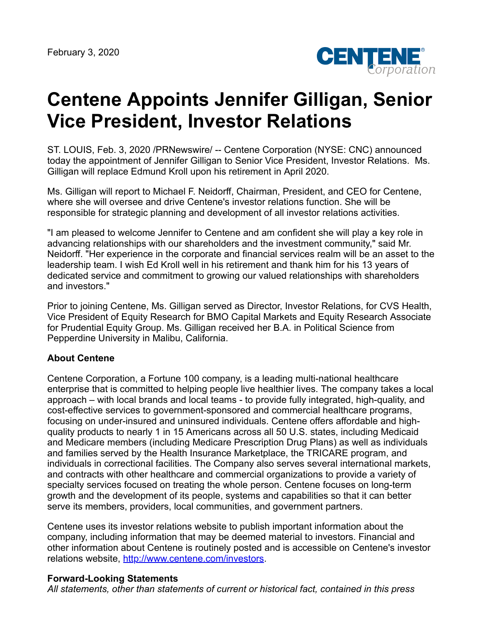

## **Centene Appoints Jennifer Gilligan, Senior Vice President, Investor Relations**

ST. LOUIS, Feb. 3, 2020 /PRNewswire/ -- Centene Corporation (NYSE: CNC) announced today the appointment of Jennifer Gilligan to Senior Vice President, Investor Relations. Ms. Gilligan will replace Edmund Kroll upon his retirement in April 2020.

Ms. Gilligan will report to Michael F. Neidorff, Chairman, President, and CEO for Centene, where she will oversee and drive Centene's investor relations function. She will be responsible for strategic planning and development of all investor relations activities.

"I am pleased to welcome Jennifer to Centene and am confident she will play a key role in advancing relationships with our shareholders and the investment community," said Mr. Neidorff. "Her experience in the corporate and financial services realm will be an asset to the leadership team. I wish Ed Kroll well in his retirement and thank him for his 13 years of dedicated service and commitment to growing our valued relationships with shareholders and investors."

Prior to joining Centene, Ms. Gilligan served as Director, Investor Relations, for CVS Health, Vice President of Equity Research for BMO Capital Markets and Equity Research Associate for Prudential Equity Group. Ms. Gilligan received her B.A. in Political Science from Pepperdine University in Malibu, California.

## **About Centene**

Centene Corporation, a Fortune 100 company, is a leading multi-national healthcare enterprise that is committed to helping people live healthier lives. The company takes a local approach – with local brands and local teams - to provide fully integrated, high-quality, and cost-effective services to government-sponsored and commercial healthcare programs, focusing on under-insured and uninsured individuals. Centene offers affordable and highquality products to nearly 1 in 15 Americans across all 50 U.S. states, including Medicaid and Medicare members (including Medicare Prescription Drug Plans) as well as individuals and families served by the Health Insurance Marketplace, the TRICARE program, and individuals in correctional facilities. The Company also serves several international markets, and contracts with other healthcare and commercial organizations to provide a variety of specialty services focused on treating the whole person. Centene focuses on long-term growth and the development of its people, systems and capabilities so that it can better serve its members, providers, local communities, and government partners.

Centene uses its investor relations website to publish important information about the company, including information that may be deemed material to investors. Financial and other information about Centene is routinely posted and is accessible on Centene's investor relations website, <http://www.centene.com/investors>.

## **Forward-Looking Statements**

*All statements, other than statements of current or historical fact, contained in this press*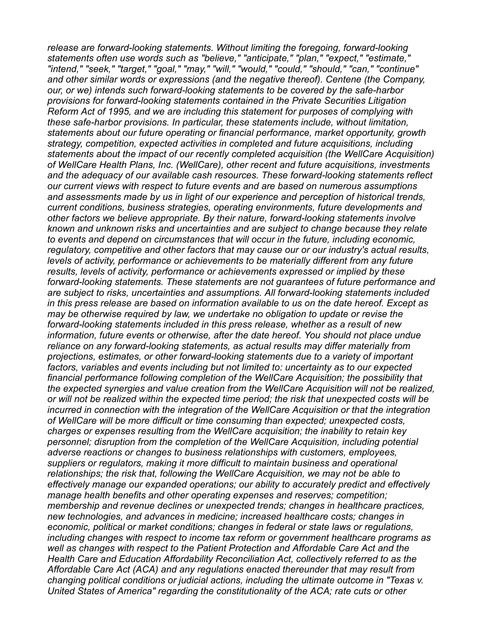*release are forward-looking statements. Without limiting the foregoing, forward-looking statements often use words such as "believe," "anticipate," "plan," "expect," "estimate," "intend," "seek," "target," "goal," "may," "will," "would," "could," "should," "can," "continue" and other similar words or expressions (and the negative thereof). Centene (the Company, our, or we) intends such forward-looking statements to be covered by the safe-harbor provisions for forward-looking statements contained in the Private Securities Litigation Reform Act of 1995, and we are including this statement for purposes of complying with these safe-harbor provisions. In particular, these statements include, without limitation, statements about our future operating or financial performance, market opportunity, growth strategy, competition, expected activities in completed and future acquisitions, including statements about the impact of our recently completed acquisition (the WellCare Acquisition) of WellCare Health Plans, Inc. (WellCare), other recent and future acquisitions, investments and the adequacy of our available cash resources. These forward-looking statements reflect our current views with respect to future events and are based on numerous assumptions and assessments made by us in light of our experience and perception of historical trends, current conditions, business strategies, operating environments, future developments and other factors we believe appropriate. By their nature, forward-looking statements involve known and unknown risks and uncertainties and are subject to change because they relate to events and depend on circumstances that will occur in the future, including economic, regulatory, competitive and other factors that may cause our or our industry's actual results, levels of activity, performance or achievements to be materially different from any future results, levels of activity, performance or achievements expressed or implied by these forward-looking statements. These statements are not guarantees of future performance and are subject to risks, uncertainties and assumptions. All forward-looking statements included in this press release are based on information available to us on the date hereof. Except as may be otherwise required by law, we undertake no obligation to update or revise the forward-looking statements included in this press release, whether as a result of new information, future events or otherwise, after the date hereof. You should not place undue reliance on any forward-looking statements, as actual results may differ materially from projections, estimates, or other forward-looking statements due to a variety of important factors, variables and events including but not limited to: uncertainty as to our expected financial performance following completion of the WellCare Acquisition; the possibility that the expected synergies and value creation from the WellCare Acquisition will not be realized, or will not be realized within the expected time period; the risk that unexpected costs will be incurred in connection with the integration of the WellCare Acquisition or that the integration of WellCare will be more difficult or time consuming than expected; unexpected costs, charges or expenses resulting from the WellCare acquisition; the inability to retain key personnel; disruption from the completion of the WellCare Acquisition, including potential adverse reactions or changes to business relationships with customers, employees, suppliers or regulators, making it more difficult to maintain business and operational relationships; the risk that, following the WellCare Acquisition, we may not be able to effectively manage our expanded operations; our ability to accurately predict and effectively manage health benefits and other operating expenses and reserves; competition; membership and revenue declines or unexpected trends; changes in healthcare practices, new technologies, and advances in medicine; increased healthcare costs; changes in economic, political or market conditions; changes in federal or state laws or regulations, including changes with respect to income tax reform or government healthcare programs as well as changes with respect to the Patient Protection and Affordable Care Act and the Health Care and Education Affordability Reconciliation Act, collectively referred to as the Affordable Care Act (ACA) and any regulations enacted thereunder that may result from changing political conditions or judicial actions, including the ultimate outcome in "Texas v. United States of America" regarding the constitutionality of the ACA; rate cuts or other*